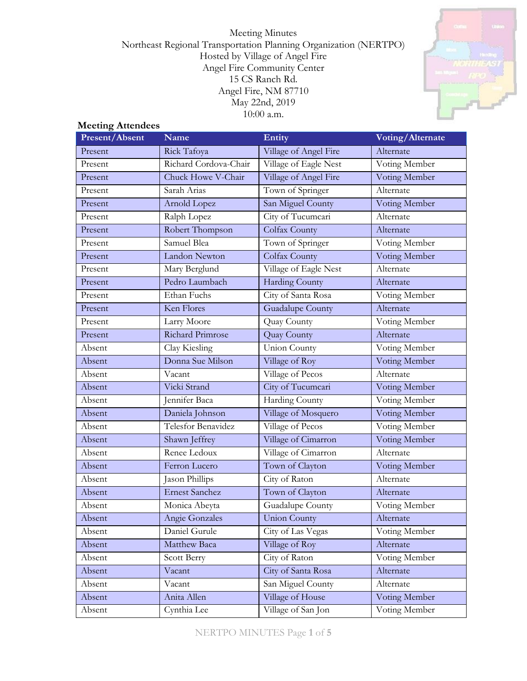Meeting Minutes Northeast Regional Transportation Planning Organization (NERTPO) Hosted by Village of Angel Fire Angel Fire Community Center 15 CS Ranch Rd. Angel Fire, NM 87710 May 22nd, 2019 10:00 a.m.



#### **Meeting Attendees**

| Present/Absent | Name                    | Entity                  | Voting/Alternate |
|----------------|-------------------------|-------------------------|------------------|
| Present        | Rick Tafoya             | Village of Angel Fire   | Alternate        |
| Present        | Richard Cordova-Chair   | Village of Eagle Nest   | Voting Member    |
| Present        | Chuck Howe V-Chair      | Village of Angel Fire   | Voting Member    |
| Present        | Sarah Arias             | Town of Springer        | Alternate        |
| Present        | Arnold Lopez            | San Miguel County       | Voting Member    |
| Present        | Ralph Lopez             | City of Tucumcari       | Alternate        |
| Present        | Robert Thompson         | Colfax County           | Alternate        |
| Present        | Samuel Blea             | Town of Springer        | Voting Member    |
| Present        | Landon Newton           | Colfax County           | Voting Member    |
| Present        | Mary Berglund           | Village of Eagle Nest   | Alternate        |
| Present        | Pedro Laumbach          | <b>Harding County</b>   | Alternate        |
| Present        | Ethan Fuchs             | City of Santa Rosa      | Voting Member    |
| Present        | Ken Flores              | <b>Guadalupe County</b> | Alternate        |
| Present        | Larry Moore             | Quay County             | Voting Member    |
| Present        | <b>Richard Primrose</b> | Quay County             | Alternate        |
| Absent         | Clay Kiesling           | <b>Union County</b>     | Voting Member    |
| Absent         | Donna Sue Milson        | Village of Roy          | Voting Member    |
| Absent         | Vacant                  | Village of Pecos        | Alternate        |
| Absent         | Vicki Strand            | City of Tucumcari       | Voting Member    |
| Absent         | Jennifer Baca           | Harding County          | Voting Member    |
| Absent         | Daniela Johnson         | Village of Mosquero     | Voting Member    |
| Absent         | Telesfor Benavidez      | Village of Pecos        | Voting Member    |
| Absent         | Shawn Jeffrey           | Village of Cimarron     | Voting Member    |
| Absent         | Renee Ledoux            | Village of Cimarron     | Alternate        |
| Absent         | Ferron Lucero           | Town of Clayton         | Voting Member    |
| Absent         | Jason Phillips          | City of Raton           | Alternate        |
| Absent         | <b>Ernest Sanchez</b>   | Town of Clayton         | Alternate        |
| Absent         | Monica Abeyta           | Guadalupe County        | Voting Member    |
| Absent         | Angie Gonzales          | <b>Union County</b>     | Alternate        |
| Absent         | Daniel Gurule           | City of Las Vegas       | Voting Member    |
| Absent         | Matthew Baca            | Village of Roy          | Alternate        |
| Absent         | Scott Berry             | City of Raton           | Voting Member    |
| Absent         | Vacant                  | City of Santa Rosa      | Alternate        |
| Absent         | Vacant                  | San Miguel County       | Alternate        |
| Absent         | Anita Allen             | Village of House        | Voting Member    |
| Absent         | Cynthia Lee             | Village of San Jon      | Voting Member    |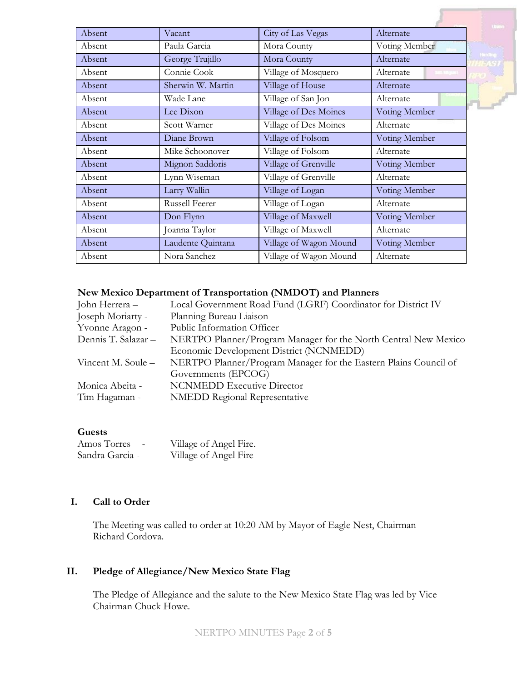| Absent | Vacant            | City of Las Vegas      | Alternate                     |
|--------|-------------------|------------------------|-------------------------------|
| Absent | Paula Garcia      | Mora County            | Voting Member                 |
| Absent | George Trujillo   | Mora County            | Alternate                     |
| Absent | Connie Cook       | Village of Mosquero    | Alternate<br><b>Les Mipal</b> |
| Absent | Sherwin W. Martin | Village of House       | Alternate                     |
| Absent | Wade Lane         | Village of San Jon     | Alternate                     |
| Absent | Lee Dixon         | Village of Des Moines  | Voting Member                 |
| Absent | Scott Warner      | Village of Des Moines  | Alternate                     |
| Absent | Diane Brown       | Village of Folsom      | Voting Member                 |
| Absent | Mike Schoonover   | Village of Folsom      | Alternate                     |
| Absent | Mignon Saddoris   | Village of Grenville   | Voting Member                 |
| Absent | Lynn Wiseman      | Village of Grenville   | Alternate                     |
| Absent | Larry Wallin      | Village of Logan       | Voting Member                 |
| Absent | Russell Feerer    | Village of Logan       | Alternate                     |
| Absent | Don Flynn         | Village of Maxwell     | Voting Member                 |
| Absent | Joanna Taylor     | Village of Maxwell     | Alternate                     |
| Absent | Laudente Quintana | Village of Wagon Mound | Voting Member                 |
| Absent | Nora Sanchez      | Village of Wagon Mound | Alternate                     |
|        |                   |                        |                               |

#### **New Mexico Department of Transportation (NMDOT) and Planners**

| John Herrera –      | Local Government Road Fund (LGRF) Coordinator for District IV    |
|---------------------|------------------------------------------------------------------|
| Joseph Moriarty -   | Planning Bureau Liaison                                          |
| Yvonne Aragon -     | Public Information Officer                                       |
| Dennis T. Salazar - | NERTPO Planner/Program Manager for the North Central New Mexico  |
|                     | Economic Development District (NCNMEDD)                          |
| Vincent M. Soule –  | NERTPO Planner/Program Manager for the Eastern Plains Council of |
|                     | Governments (EPCOG)                                              |
| Monica Abeita -     | <b>NCNMEDD</b> Executive Director                                |
| Tim Hagaman -       | <b>NMEDD Regional Representative</b>                             |
|                     |                                                                  |

#### **Guests**

| Amos Torres<br>$\qquad \qquad \blacksquare$ | Village of Angel Fire. |
|---------------------------------------------|------------------------|
| Sandra Garcia -                             | Village of Angel Fire  |

## **I. Call to Order**

The Meeting was called to order at 10:20 AM by Mayor of Eagle Nest, Chairman Richard Cordova.

# **II. Pledge of Allegiance/New Mexico State Flag**

The Pledge of Allegiance and the salute to the New Mexico State Flag was led by Vice Chairman Chuck Howe.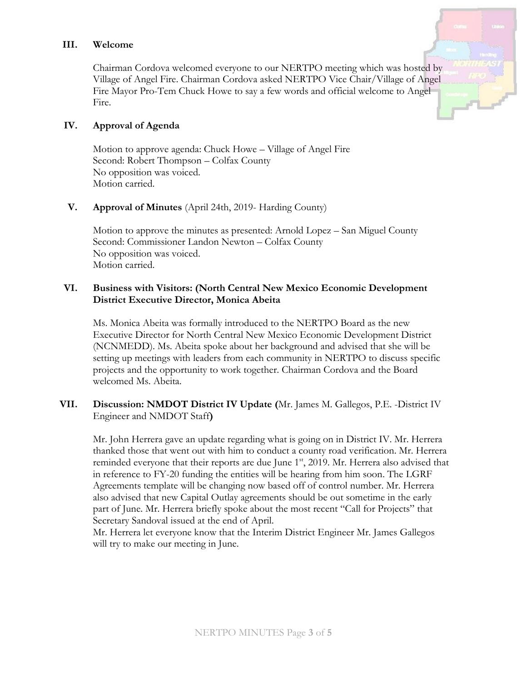### **III. Welcome**

Chairman Cordova welcomed everyone to our NERTPO meeting which was hosted by Village of Angel Fire. Chairman Cordova asked NERTPO Vice Chair/Village of Angel Fire Mayor Pro-Tem Chuck Howe to say a few words and official welcome to Angel Fire.

#### **IV. Approval of Agenda**

Motion to approve agenda: Chuck Howe – Village of Angel Fire Second: Robert Thompson – Colfax County No opposition was voiced. Motion carried.

#### **V. Approval of Minutes** (April 24th, 2019- Harding County)

Motion to approve the minutes as presented: Arnold Lopez – San Miguel County Second: Commissioner Landon Newton – Colfax County No opposition was voiced. Motion carried.

## **VI. Business with Visitors: (North Central New Mexico Economic Development District Executive Director, Monica Abeita**

Ms. Monica Abeita was formally introduced to the NERTPO Board as the new Executive Director for North Central New Mexico Economic Development District (NCNMEDD). Ms. Abeita spoke about her background and advised that she will be setting up meetings with leaders from each community in NERTPO to discuss specific projects and the opportunity to work together. Chairman Cordova and the Board welcomed Ms. Abeita.

### **VII. Discussion: NMDOT District IV Update (**Mr. James M. Gallegos, P.E. -District IV Engineer and NMDOT Staff**)**

Mr. John Herrera gave an update regarding what is going on in District IV. Mr. Herrera thanked those that went out with him to conduct a county road verification. Mr. Herrera reminded everyone that their reports are due June 1<sup>st</sup>, 2019. Mr. Herrera also advised that in reference to FY-20 funding the entities will be hearing from him soon. The LGRF Agreements template will be changing now based off of control number. Mr. Herrera also advised that new Capital Outlay agreements should be out sometime in the early part of June. Mr. Herrera briefly spoke about the most recent "Call for Projects" that Secretary Sandoval issued at the end of April.

Mr. Herrera let everyone know that the Interim District Engineer Mr. James Gallegos will try to make our meeting in June.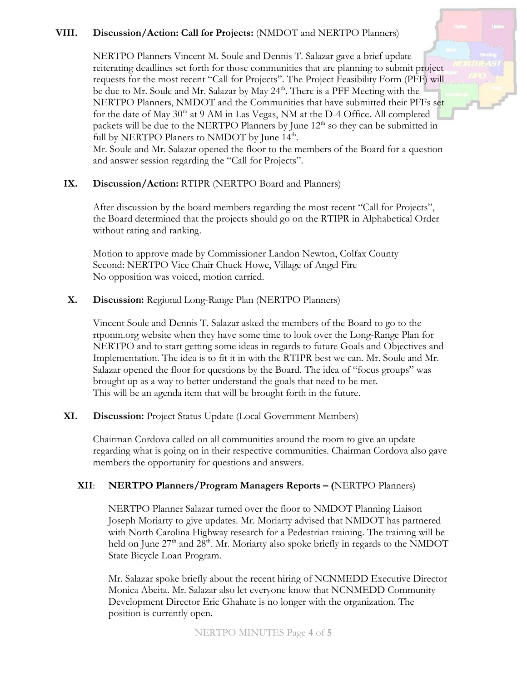# **VIII. Discussion/Action: Call for Projects:** (NMDOT and NERTPO Planners)

NERTPO Planners Vincent M. Soule and Dennis T. Salazar gave a brief update reiterating deadlines set forth for those communities that are planning to submit project requests for the most recent "Call for Projects". The Project Feasibility Form (PFF) will be due to Mr. Soule and Mr. Salazar by May 24<sup>th</sup>. There is a PFF Meeting with the NERTPO Planners, NMDOT and the Communities that have submitted their PFFs set for the date of May  $30<sup>th</sup>$  at 9 AM in Las Vegas, NM at the D-4 Office. All completed packets will be due to the NERTPO Planners by June  $12<sup>th</sup>$  so they can be submitted in full by NERTPO Planers to NMDOT by June 14<sup>th</sup>.

Mr. Soule and Mr. Salazar opened the floor to the members of the Board for a question and answer session regarding the "Call for Projects".

### **IX. Discussion/Action:** RTIPR (NERTPO Board and Planners)

After discussion by the board members regarding the most recent "Call for Projects", the Board determined that the projects should go on the RTIPR in Alphabetical Order without rating and ranking.

Motion to approve made by Commissioner Landon Newton, Colfax County Second: NERTPO Vice Chair Chuck Howe, Village of Angel Fire No opposition was voiced, motion carried.

### **X. Discussion:** Regional Long-Range Plan (NERTPO Planners)

Vincent Soule and Dennis T. Salazar asked the members of the Board to go to the rtponm.org website when they have some time to look over the Long-Range Plan for NERTPO and to start getting some ideas in regards to future Goals and Objectives and Implementation. The idea is to fit it in with the RTIPR best we can. Mr. Soule and Mr. Salazar opened the floor for questions by the Board. The idea of "focus groups" was brought up as a way to better understand the goals that need to be met. This will be an agenda item that will be brought forth in the future.

### **XI. Discussion:** Project Status Update (Local Government Members)

Chairman Cordova called on all communities around the room to give an update regarding what is going on in their respective communities. Chairman Cordova also gave members the opportunity for questions and answers.

### **XII**: **NERTPO Planners/Program Managers Reports – (**NERTPO Planners)

NERTPO Planner Salazar turned over the floor to NMDOT Planning Liaison Joseph Moriarty to give updates. Mr. Moriarty advised that NMDOT has partnered with North Carolina Highway research for a Pedestrian training. The training will be held on June 27<sup>th</sup> and 28<sup>th</sup>. Mr. Moriarty also spoke briefly in regards to the NMDOT State Bicycle Loan Program.

Mr. Salazar spoke briefly about the recent hiring of NCNMEDD Executive Director Monica Abeita. Mr. Salazar also let everyone know that NCNMEDD Community Development Director Eric Ghahate is no longer with the organization. The position is currently open.